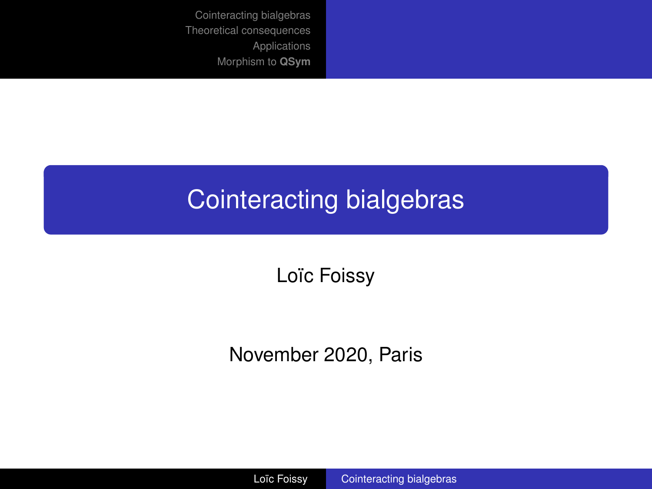## <span id="page-0-0"></span>Cointeracting bialgebras

Loïc Foissy

November 2020, Paris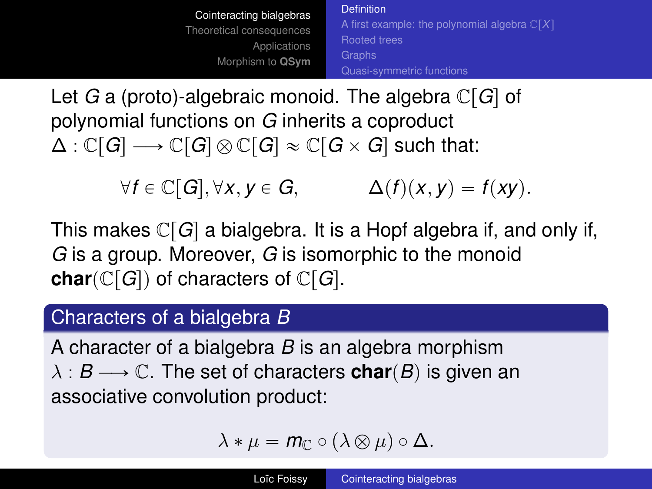[Cointeracting bialgebras](#page-1-0) [Theoretical consequences](#page-19-0) [Applications](#page-35-0) [Morphism to](#page-38-0) **QSym** [Definition](#page-1-0) [A first example: the polynomial algebra](#page-4-0)  $\mathbb{C}[X]$ [Rooted trees](#page-8-0) [Quasi-symmetric functions](#page-15-0)

<span id="page-1-0"></span>Let *G* a (proto)-algebraic monoid. The algebra  $\mathbb{C}[G]$  of polynomial functions on *G* inherits a coproduct  $\Delta : \mathbb{C}[G] \longrightarrow \mathbb{C}[G] \otimes \mathbb{C}[G] \approx \mathbb{C}[G \times G]$  such that:

 $\forall f \in \mathbb{C}[G], \forall x, y \in G, \qquad \Delta(f)(x, y) = f(xy).$ 

This makes  $\mathbb{C}[G]$  a bialgebra. It is a Hopf algebra if, and only if, *G* is a group. Moreover, *G* is isomorphic to the monoid **char** $(\mathbb{C}[G])$  of characters of  $\mathbb{C}[G]$ .

#### Characters of a bialgebra *B*

A character of a bialgebra *B* is an algebra morphism  $\lambda : B \longrightarrow \mathbb{C}$ . The set of characters **char** $(B)$  is given an associative convolution product:

$$
\lambda * \mu = m_{\mathbb{C}} \circ (\lambda \otimes \mu) \circ \Delta.
$$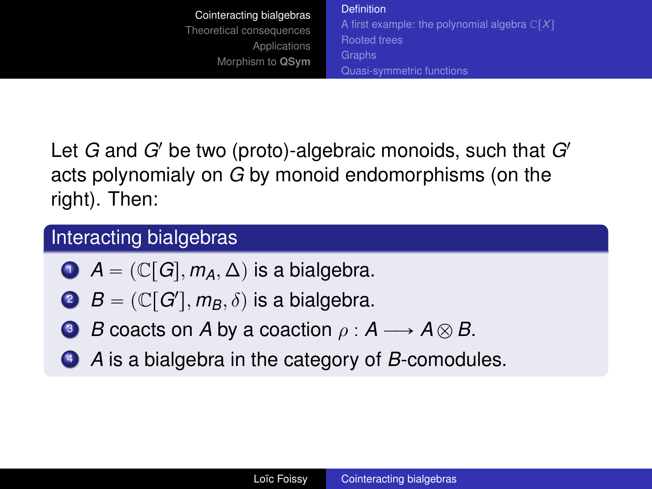[Cointeracting bialgebras](#page-1-0) [Theoretical consequences](#page-19-0) [Applications](#page-35-0) [Morphism to](#page-38-0) **QSym** [Definition](#page-1-0) [A first example: the polynomial algebra](#page-4-0)  $\mathbb{C}[X]$ [Rooted trees](#page-8-0) [Quasi-symmetric functions](#page-15-0)

Let *G* and *G*<sup>1</sup> be two (proto)-algebraic monoids, such that *G*<sup>1</sup> acts polynomialy on *G* by monoid endomorphisms (on the right). Then:

## Interacting bialgebras

- $\bigcirc$  *A* =  $(\mathbb{C}[G], m_A, \Delta)$  is a bialgebra.
	- $B = (\mathbb{C}[G'], m_B, \delta)$  is a bialgebra.
- **3** *B* coacts on *A* by a coaction  $\rho : A \longrightarrow A \otimes B$ .
- <sup>4</sup> *A* is a bialgebra in the category of *B*-comodules.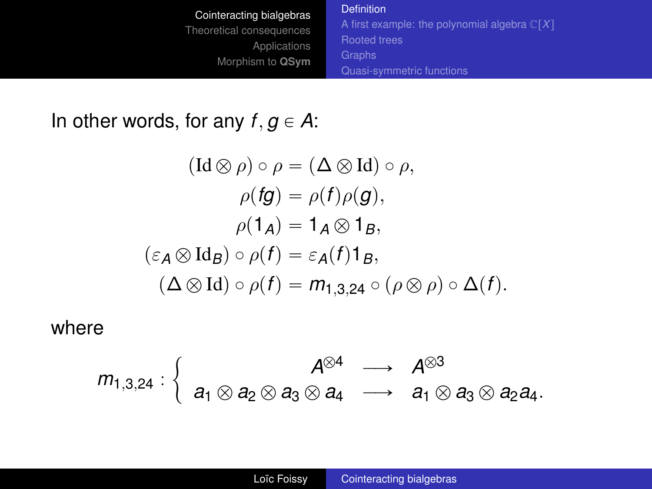| Cointeracting bialgebras                                     | <b>Definition</b>                                       |
|--------------------------------------------------------------|---------------------------------------------------------|
| Theoretical consequences<br>Applications<br>Morphism to QSym | A first example: the polynomial algebra $\mathbb{C}[X]$ |
|                                                              | <b>Rooted trees</b>                                     |
|                                                              | Graphs                                                  |
|                                                              | Quasi-symmetric functions                               |

In other words, for any  $f, g \in A$ :

$$
(\mathrm{Id}\otimes\rho)\circ\rho=(\Delta\otimes\mathrm{Id})\circ\rho,
$$
  
\n
$$
\rho(fg)=\rho(f)\rho(g),
$$
  
\n
$$
\rho(1_A)=1_A\otimes 1_B,
$$
  
\n
$$
(\varepsilon_A\otimes\mathrm{Id}_B)\circ\rho(f)=\varepsilon_A(f)1_B,
$$
  
\n
$$
(\Delta\otimes\mathrm{Id})\circ\rho(f)=m_{1,3,24}\circ(\rho\otimes\rho)\circ\Delta(f).
$$

where

$$
m_{1,3,24}:\left\{\begin{array}{ccc} & A^{\otimes 4} & \longrightarrow & A^{\otimes 3} \\ a_1\otimes a_2\otimes a_3\otimes a_4 & \longrightarrow & a_1\otimes a_3\otimes a_2a_4. \end{array}\right.
$$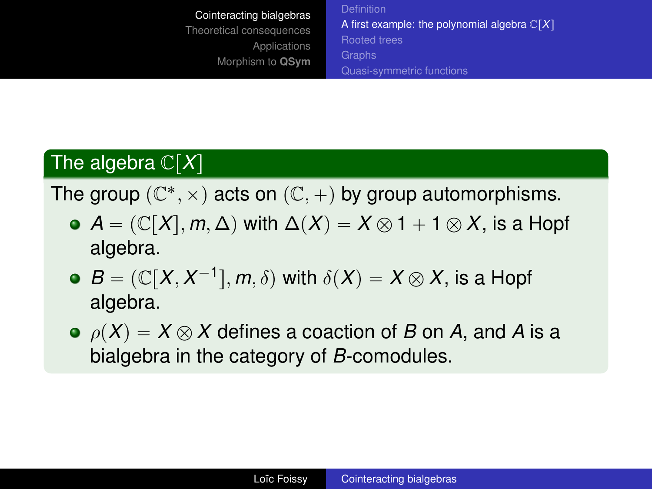<span id="page-4-0"></span>[Cointeracting bialgebras](#page-1-0) [Theoretical consequences](#page-19-0) [Applications](#page-35-0) [Morphism to](#page-38-0) **QSym** [A first example: the polynomial algebra](#page-4-0)  $\mathbb{C}[X]$ [Rooted trees](#page-8-0) [Quasi-symmetric functions](#page-15-0)

## The algebra  $\mathbb{C}[X]$

The group  $(\mathbb{C}^*, \times)$  acts on  $(\mathbb{C}, +)$  by group automorphisms.

- $\bullet$  *A* =  $(\mathbb{C}[X], m, \Delta)$  with  $\Delta(X) = X \otimes 1 + 1 \otimes X$ , is a Hopf algebra.
- $B = (\mathbb{C}[X, X^{-1}], m, \delta)$  with  $\delta(X) = X \otimes X$ , is a Hopf algebra.
- $\rho(X) = X \otimes X$  defines a coaction of *B* on *A*, and *A* is a bialgebra in the category of *B*-comodules.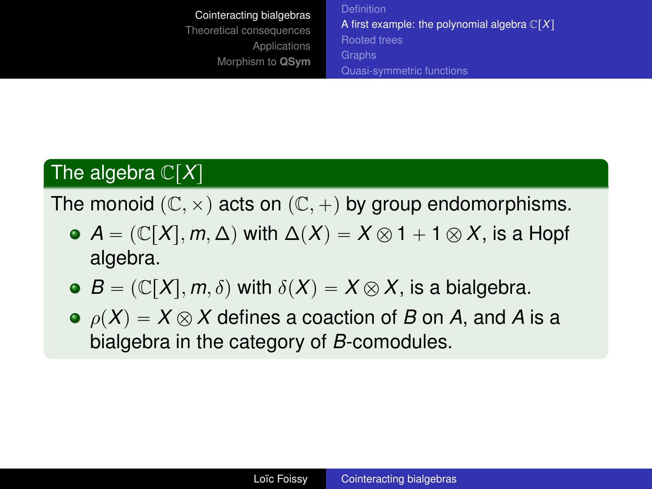[Cointeracting bialgebras](#page-1-0) [Theoretical consequences](#page-19-0) [Applications](#page-35-0) [Morphism to](#page-38-0) **QSym** [A first example: the polynomial algebra](#page-4-0)  $\mathbb{C}[X]$ [Rooted trees](#page-8-0) [Quasi-symmetric functions](#page-15-0)

## The algebra  $\mathbb{C}[X]$

The monoid  $(\mathbb{C}, \times)$  acts on  $(\mathbb{C}, +)$  by group endomorphisms.

- $\bullet$  *A* =  $(\mathbb{C}[X], m, \Delta)$  with  $\Delta(X) = X \otimes 1 + 1 \otimes X$ , is a Hopf algebra.
- $\bullet$  *B* =  $(\mathbb{C}[X], m, \delta)$  with  $\delta(X) = X \otimes X$ , is a bialgebra.
- $\rho(X) = X \otimes X$  defines a coaction of *B* on *A*, and *A* is a bialgebra in the category of *B*-comodules.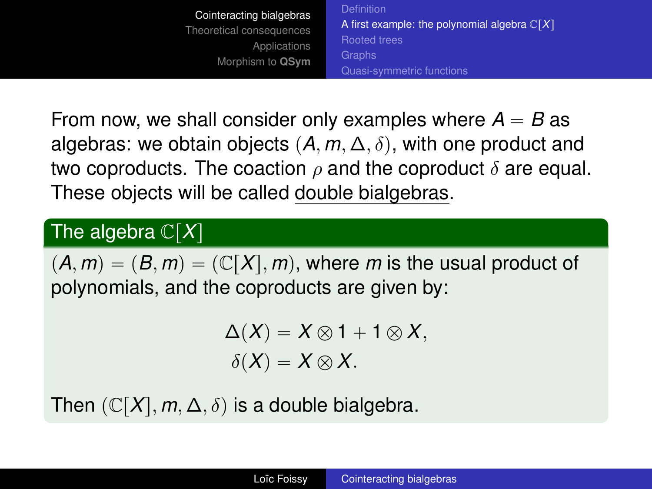[A first example: the polynomial algebra](#page-4-0)  $\mathbb{C}[X]$ [Rooted trees](#page-8-0) [Quasi-symmetric functions](#page-15-0)

From now, we shall consider only examples where  $A = B$  as algebras: we obtain objects  $(A, m, \Delta, \delta)$ , with one product and two coproducts. The coaction  $\rho$  and the coproduct  $\delta$  are equal. These objects will be called double bialgebras.

## The algebra  $\mathbb{C}[X]$

 $(A, m) = (B, m) = (\mathbb{C}[X], m)$ , where *m* is the usual product of polynomials, and the coproducts are given by:

$$
\Delta(X) = X \otimes 1 + 1 \otimes X,
$$
  

$$
\delta(X) = X \otimes X.
$$

Then  $(\mathbb{C}[X], m, \Delta, \delta)$  is a double bialgebra.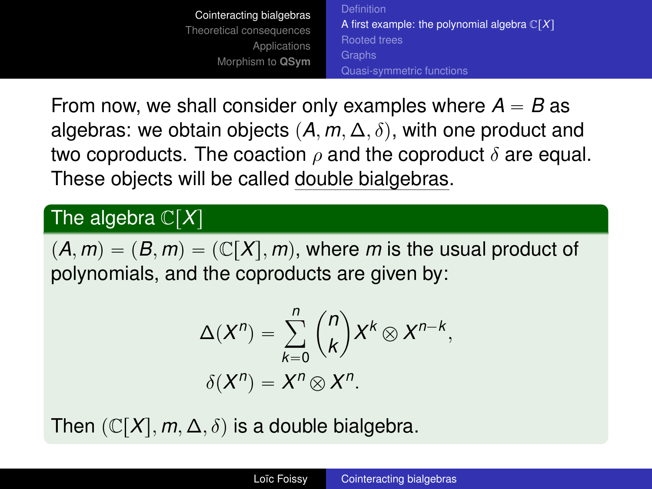[Cointeracting bialgebras](#page-1-0) [Theoretical consequences](#page-19-0) [Applications](#page-35-0) [Morphism to](#page-38-0) **QSym** [A first example: the polynomial algebra](#page-4-0)  $\mathbb{C}[X]$ [Rooted trees](#page-8-0) [Quasi-symmetric functions](#page-15-0)

From now, we shall consider only examples where  $A = B$  as algebras: we obtain objects  $(A, m, \Delta, \delta)$ , with one product and two coproducts. The coaction  $\rho$  and the coproduct  $\delta$  are equal. These objects will be called double bialgebras.

#### The algebra  $\mathbb{C}[X]$

 $(A, m) = (B, m) = (\mathbb{C}[X], m)$ , where *m* is the usual product of polynomials, and the coproducts are given by:

$$
\Delta(X^n) = \sum_{k=0}^n {n \choose k} X^k \otimes X^{n-k},
$$
  

$$
\delta(X^n) = X^n \otimes X^n.
$$

Then  $(\mathbb{C}[X], m, \Delta, \delta)$  is a double bialgebra.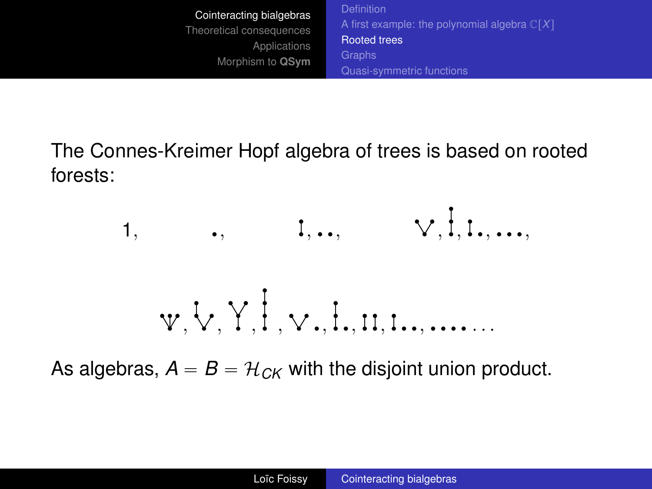<span id="page-8-0"></span>[Cointeracting bialgebras](#page-1-0) [Theoretical consequences](#page-19-0) [Applications](#page-35-0) [Morphism to](#page-38-0) **QSym** [A first example: the polynomial algebra](#page-4-0)  $\mathbb{C}[X]$ [Rooted trees](#page-8-0) [Quasi-symmetric functions](#page-15-0)

The Connes-Kreimer Hopf algebra of trees is based on rooted forests:



As algebras,  $A = B = H_{CK}$  with the disjoint union product.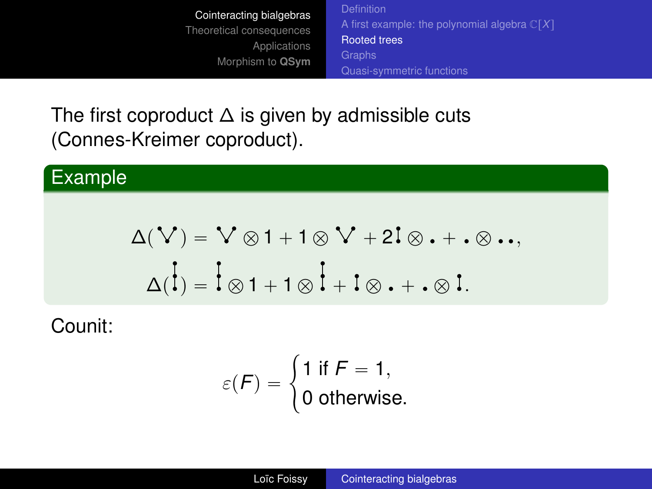[A first example: the polynomial algebra](#page-4-0)  $\mathbb{C}[X]$ [Rooted trees](#page-8-0) [Quasi-symmetric functions](#page-15-0)

The first coproduct  $\Delta$  is given by admissible cuts (Connes-Kreimer coproduct).

#### Example

$$
\Delta(V) = V \otimes 1 + 1 \otimes V + 2I \otimes \ldots, \Delta(\dot{I}) = \dot{I} \otimes 1 + 1 \otimes \dot{I} + I \otimes \ldots \otimes I.
$$

Counit:

$$
\varepsilon(F) = \begin{cases} 1 \text{ if } F = 1, \\ 0 \text{ otherwise.} \end{cases}
$$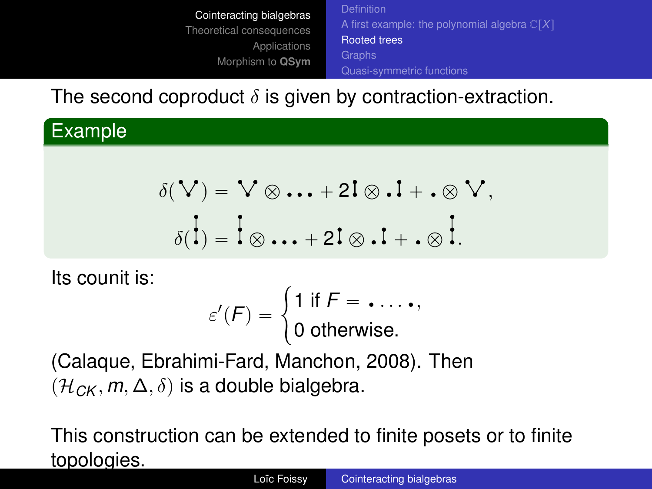[Cointeracting bialgebras](#page-1-0) [Theoretical consequences](#page-19-0) [Applications](#page-35-0) [Morphism to](#page-38-0) **QSym** [A first example: the polynomial algebra](#page-4-0)  $\mathbb{C}[X]$ [Rooted trees](#page-8-0) [Quasi-symmetric functions](#page-15-0)

The second coproduct  $\delta$  is given by contraction-extraction.

Example

$$
\delta(\mathbf{V}) = \mathbf{V} \otimes \mathbf{W} + 2\mathbf{I} \otimes \mathbf{I} + \mathbf{I} \otimes \mathbf{V},
$$

$$
\delta(\mathbf{I}) = \mathbf{I} \otimes \mathbf{W} + 2\mathbf{I} \otimes \mathbf{I} + \mathbf{I} \otimes \mathbf{I}.
$$

Its counit is:

$$
\varepsilon'(F) = \begin{cases} 1 \text{ if } F = \ldots, \\ 0 \text{ otherwise.} \end{cases}
$$

(Calaque, Ebrahimi-Fard, Manchon, 2008). Then  $(\mathcal{H}_{CK}, m, \Delta, \delta)$  is a double bialgebra.

This construction can be extended to finite posets or to finite topologies.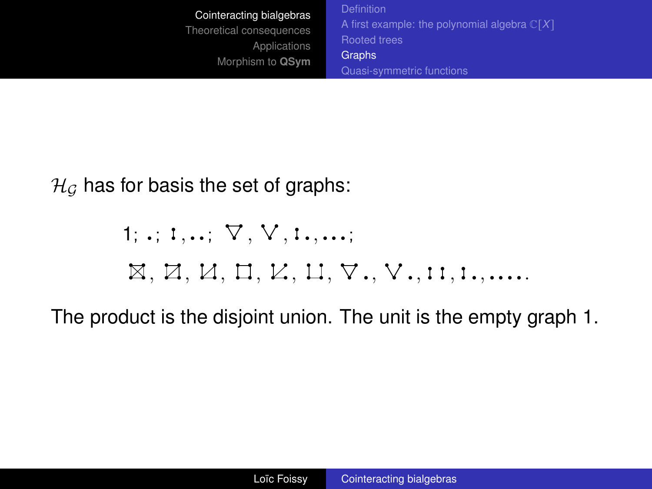<span id="page-11-0"></span>[Cointeracting bialgebras](#page-1-0) [Theoretical consequences](#page-19-0) [Applications](#page-35-0) [Morphism to](#page-38-0) **QSym** [A first example: the polynomial algebra](#page-4-0)  $\mathbb{C}[X]$ [Rooted trees](#page-8-0) **[Graphs](#page-11-0)** [Quasi-symmetric functions](#page-15-0)

 $H_G$  has for basis the set of graphs:

# $1;$   $,$   $i$ ,  $,$   $\ldots$   $\forall$  ,  $\forall$  ,  $1$   $\dots$  ;  $\boxtimes$ ,  $\boxtimes$ ,  $\boxminus$ ,  $\boxminus$ ,  $\boxminus$ ,  $\boxminus$ ,  $\boxminus$ ,  $\boxminus$ ,  $\boxminus$ ,  $\boxminus$ ,  $\boxminus$ ,  $\boxminus$ ,  $\boxminus$ ,  $\boxminus$ ,  $\boxminus$ ,  $\boxminus$ ,  $\boxminus$ ,  $\boxminus$ ,  $\boxminus$ ,  $\boxminus$ ,  $\boxminus$ ,  $\boxminus$ ,  $\boxminus$ ,  $\boxminus$ ,  $\boxminus$ ,  $\boxminus$ ,  $\boxminus$ ,  $\boxminus$ ,  $\boxminus$ ,  $\boxminus$ ,  $\boxminus$ ,  $\boxminus$

The product is the disjoint union. The unit is the empty graph 1.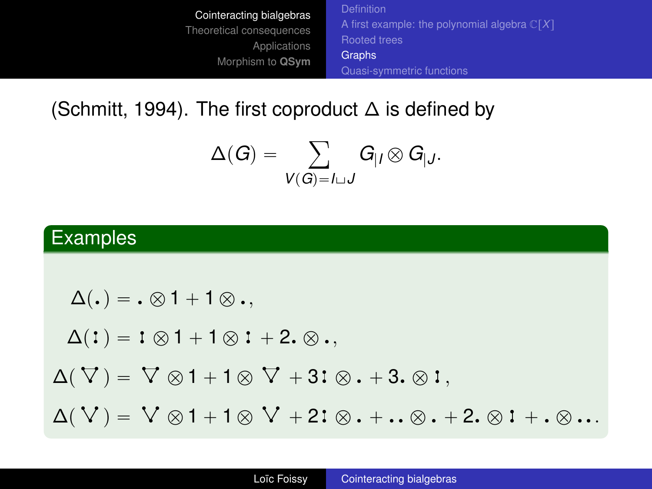[Cointeracting bialgebras](#page-1-0) [Theoretical consequences](#page-19-0) [Applications](#page-35-0) [Morphism to](#page-38-0) **QSym** [A first example: the polynomial algebra](#page-4-0)  $\mathbb{C}[X]$ [Rooted trees](#page-8-0) **[Graphs](#page-11-0)** [Quasi-symmetric functions](#page-15-0)

(Schmitt, 1994). The first coproduct ∆ is defined by

$$
\Delta(G)=\sum_{V(G)=I\sqcup J}G_{|I}\otimes G_{|J}.
$$

## Examples

$$
\Delta(.) = . \otimes 1 + 1 \otimes ,
$$
  
\n
$$
\Delta(1) = 1 \otimes 1 + 1 \otimes 1 + 2. \otimes ,
$$
  
\n
$$
\Delta(\nabla) = \nabla \otimes 1 + 1 \otimes \nabla + 3i \otimes . + 3. \otimes 1,
$$
  
\n
$$
\Delta(\nabla) = \nabla \otimes 1 + 1 \otimes \nabla + 2i \otimes . + .. \otimes . + 2. \otimes 1 + .. \otimes ...
$$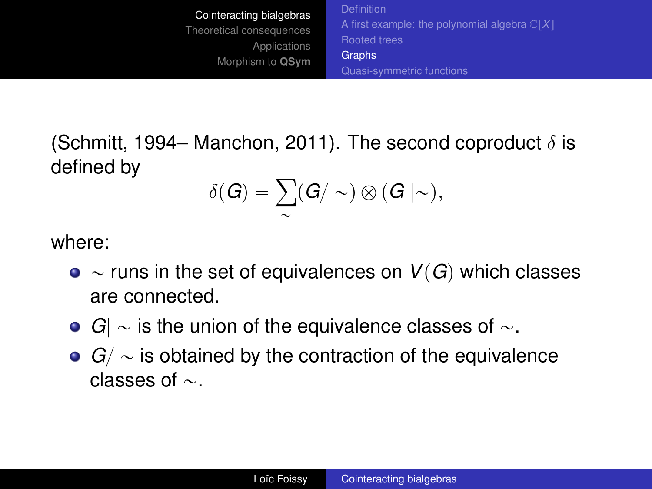[Cointeracting bialgebras](#page-1-0) [Theoretical consequences](#page-19-0) [Applications](#page-35-0) [Morphism to](#page-38-0) **QSym** [A first example: the polynomial algebra](#page-4-0)  $\mathbb{C}[X]$ [Rooted trees](#page-8-0) **[Graphs](#page-11-0)** [Quasi-symmetric functions](#page-15-0)

(Schmitt, 1994– Manchon, 2011). The second coproduct  $\delta$  is defined by

$$
\delta(G) = \sum_{\sim} (G / \sim) \otimes (G \mid \sim),
$$

where:

- $\bullet \sim$  runs in the set of equivalences on  $V(G)$  which classes are connected.
- $G| \sim$  is the union of the equivalence classes of  $\sim$ .
- $G / \sim$  is obtained by the contraction of the equivalence classes of  $\sim$ .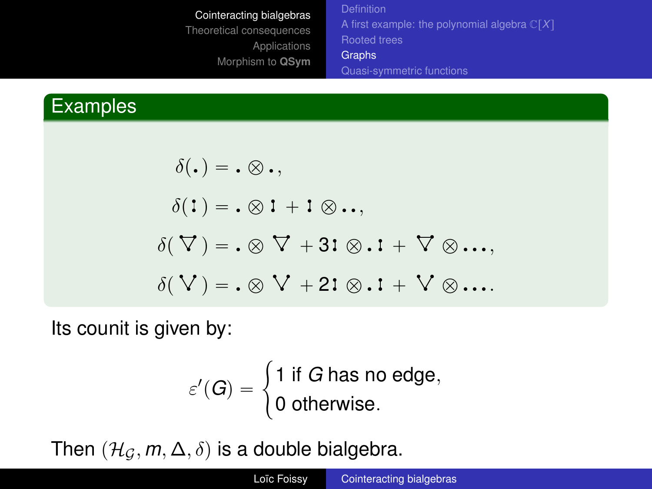[A first example: the polynomial algebra](#page-4-0)  $\mathbb{C}[X]$ [Rooted trees](#page-8-0) **[Graphs](#page-11-0)** [Quasi-symmetric functions](#page-15-0)

## Examples

$$
\delta(.) = . \otimes .,
$$
  
\n
$$
\delta(1) = . \otimes 1 + 1 \otimes ...,
$$
  
\n
$$
\delta(\nabla) = . \otimes \nabla + 31 \otimes .1 + \nabla \otimes ...,
$$
  
\n
$$
\delta(\nabla) = . \otimes \nabla + 21 \otimes .1 + \nabla \otimes ...
$$

Its counit is given by:

$$
\varepsilon'(G) = \begin{cases} 1 \text{ if } G \text{ has no edge,} \\ 0 \text{ otherwise.} \end{cases}
$$

Then  $(\mathcal{H}_G, m, \Delta, \delta)$  is a double bialgebra.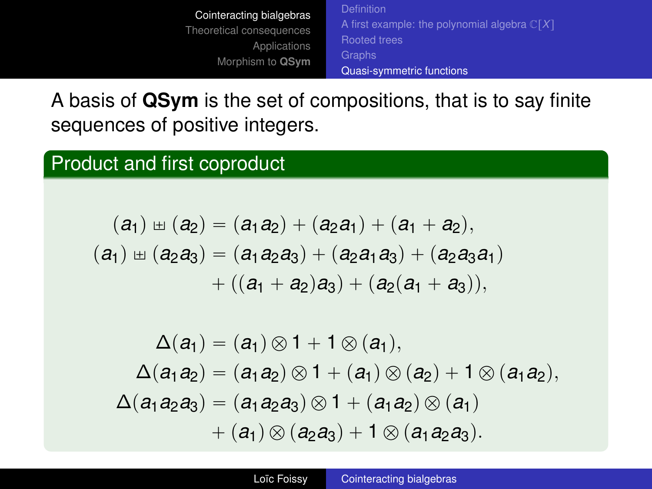[Cointeracting bialgebras](#page-1-0) [Theoretical consequences](#page-19-0) [Applications](#page-35-0) [Morphism to](#page-38-0) **QSym** [A first example: the polynomial algebra](#page-4-0)  $\mathbb{C}[X]$ [Rooted trees](#page-8-0) [Quasi-symmetric functions](#page-15-0)

<span id="page-15-0"></span>A basis of **QSym** is the set of compositions, that is to say finite sequences of positive integers.

#### Product and first coproduct

$$
(a_1) \boxplus (a_2) = (a_1a_2) + (a_2a_1) + (a_1 + a_2),
$$
  
\n
$$
(a_1) \boxplus (a_2a_3) = (a_1a_2a_3) + (a_2a_1a_3) + (a_2a_3a_1) + ((a_1 + a_2)a_3) + (a_2(a_1 + a_3)),
$$

 $\Delta(a_1) = (a_1) \otimes 1 + 1 \otimes (a_1),$  $\Delta(a_1a_2) = (a_1a_2) \otimes 1 + (a_1) \otimes (a_2) + 1 \otimes (a_1a_2),$  $\Delta(a_1a_2a_3) = (a_1a_2a_3) \otimes 1 + (a_1a_2) \otimes (a_1)$  $+ (a_1) \otimes (a_2 a_3) + 1 \otimes (a_1 a_2 a_3).$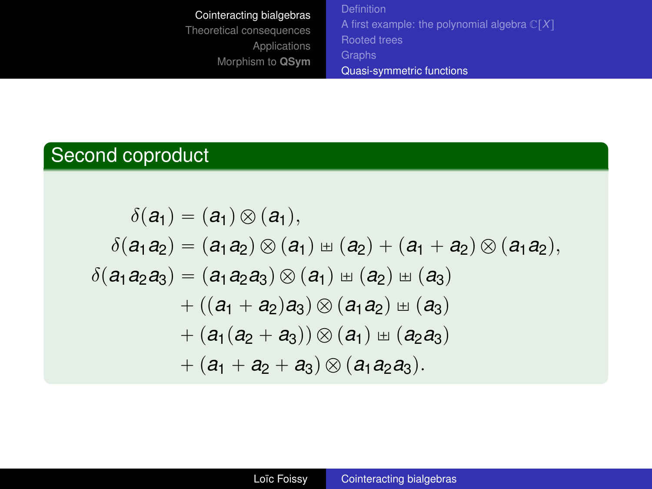[Cointeracting bialgebras](#page-1-0) [Theoretical consequences](#page-19-0) [Applications](#page-35-0) [Morphism to](#page-38-0) **QSym** [A first example: the polynomial algebra](#page-4-0)  $\mathbb{C}[X]$ [Rooted trees](#page-8-0) [Quasi-symmetric functions](#page-15-0)

## Second coproduct

$$
\delta(a_1) = (a_1) \otimes (a_1),
$$
  
\n
$$
\delta(a_1 a_2) = (a_1 a_2) \otimes (a_1) \pm (a_2) + (a_1 + a_2) \otimes (a_1 a_2),
$$
  
\n
$$
\delta(a_1 a_2 a_3) = (a_1 a_2 a_3) \otimes (a_1) \pm (a_2) \pm (a_3)
$$
  
\n
$$
+ ((a_1 + a_2) a_3) \otimes (a_1 a_2) \pm (a_3)
$$
  
\n
$$
+ (a_1 (a_2 + a_3)) \otimes (a_1) \pm (a_2 a_3)
$$
  
\n
$$
+ (a_1 + a_2 + a_3) \otimes (a_1 a_2 a_3).
$$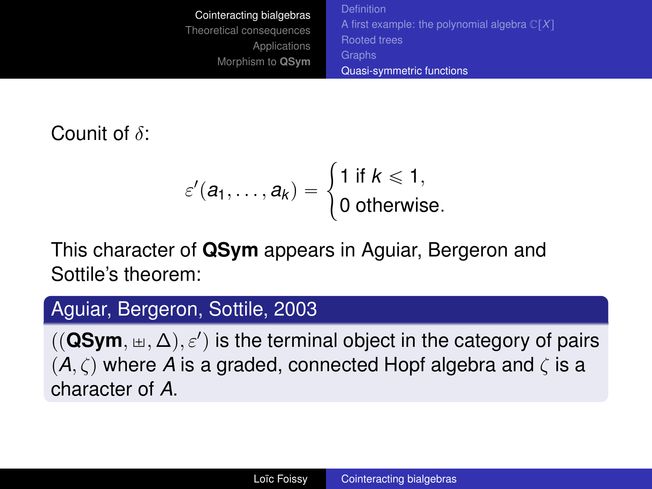| Cointeracting bialgebras | <b>Definition</b>                                       |
|--------------------------|---------------------------------------------------------|
| Theoretical consequences | A first example: the polynomial algebra $\mathbb{C}[X]$ |
| Applications             | <b>Rooted trees</b>                                     |
| Morphism to QSym         | <b>Graphs</b>                                           |
|                          | Quasi-symmetric functions                               |

Counit of  $\delta$ :

$$
\varepsilon'(a_1,\ldots,a_k)=\begin{cases}1 \text{ if } k\leqslant 1,\\ 0 \text{ otherwise.}\end{cases}
$$

This character of **QSym** appears in Aguiar, Bergeron and Sottile's theorem:

## Aguiar, Bergeron, Sottile, 2003

 $((\mathbf{QSym}, \pm, \Delta), \varepsilon')$  is the terminal object in the category of pairs  $(A, \zeta)$  where *A* is a graded, connected Hopf algebra and  $\zeta$  is a character of *A*.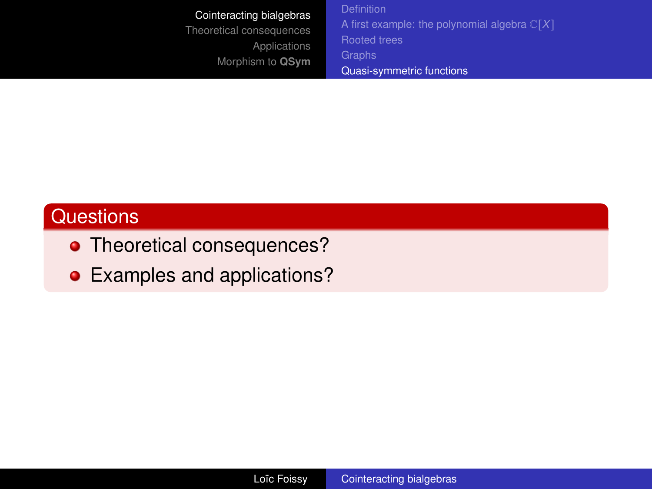| Cointeracting bialgebras<br>Theoretical consequences<br><b>Applications</b><br>Morphism to QSym | <b>Definition</b><br>A first example: the polynomial algebra $\mathbb{C}[X]$<br><b>Rooted trees</b><br>Graphs<br>Quasi-symmetric functions |
|-------------------------------------------------------------------------------------------------|--------------------------------------------------------------------------------------------------------------------------------------------|
|-------------------------------------------------------------------------------------------------|--------------------------------------------------------------------------------------------------------------------------------------------|

## **Questions**

- Theoretical consequences?
- Examples and applications?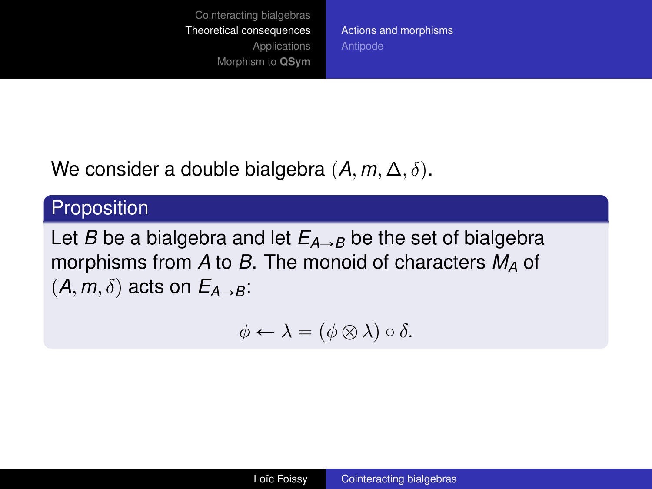[Actions and morphisms](#page-19-0) [Antipode](#page-31-0)

<span id="page-19-0"></span>We consider a double bialgebra  $(A, m, \Delta, \delta)$ .

## Proposition

Let *B* be a bialgebra and let  $E_{A\rightarrow B}$  be the set of bialgebra morphisms from *A* to *B*. The monoid of characters *M<sup>A</sup>* of  $(A, m, \delta)$  acts on  $E_{A\rightarrow B}$ :

$$
\phi \leftarrow \lambda = (\phi \otimes \lambda) \circ \delta.
$$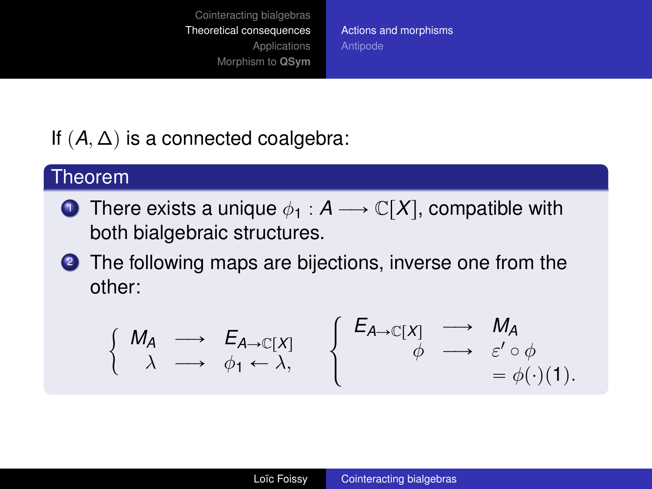[Actions and morphisms](#page-19-0) [Antipode](#page-31-0)

## If  $(A, \Delta)$  is a connected coalgebra:

#### Theorem

- **1** There exists a unique  $\phi_1 : A \longrightarrow \mathbb{C}[X]$ , compatible with both bialgebraic structures.
- 2 The following maps are bijections, inverse one from the other:

$$
\left\{\begin{array}{ccc}\nM_A & \longrightarrow & E_{A \to \mathbb{C}[X]} \\
\lambda & \longrightarrow & \phi_1 \leftarrow \lambda, \\
\end{array}\right\}\n\left\{\n\begin{array}{ccc}\nE_{A \to \mathbb{C}[X]} & \longrightarrow & M_A \\
\phi & \longrightarrow & \varepsilon' \circ \phi \\
\qquad & = \phi(\cdot)(1).\n\end{array}\n\right.
$$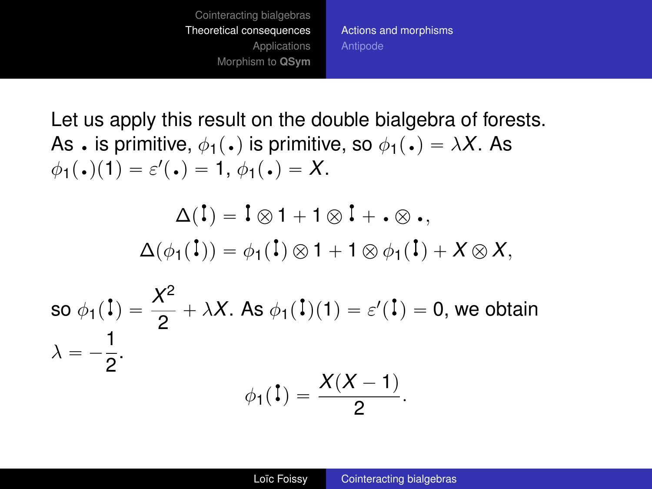[Cointeracting bialgebras](#page-1-0) [Theoretical consequences](#page-19-0) [Applications](#page-35-0) [Morphism to](#page-38-0) **QSym** [Actions and morphisms](#page-19-0) [Antipode](#page-31-0)

Let us apply this result on the double bialgebra of forests. As  $\cdot$  is primitive,  $\phi_1(\cdot)$  is primitive, so  $\phi_1(\cdot) = \lambda X$ . As  $\phi_1(\bullet)(1) = \varepsilon'(\bullet) = 1, \, \phi_1(\bullet) = X.$ 

$$
\Delta(\mathbf{I}) = \mathbf{I} \otimes \mathbf{1} + \mathbf{1} \otimes \mathbf{I} + \mathbf{1} \otimes \mathbf{1},
$$

$$
\Delta(\phi_1(\mathbf{I})) = \phi_1(\mathbf{I}) \otimes \mathbf{1} + \mathbf{1} \otimes \phi_1(\mathbf{I}) + X \otimes X,
$$

so 
$$
\phi_1(\mathbf{l}) = \frac{X^2}{2} + \lambda X
$$
. As  $\phi_1(\mathbf{l})(1) = \varepsilon'(\mathbf{l}) = 0$ , we obtain  
\n
$$
\lambda = -\frac{1}{2}.
$$
\n
$$
\phi_1(\mathbf{l}) = \frac{X(X-1)}{2}.
$$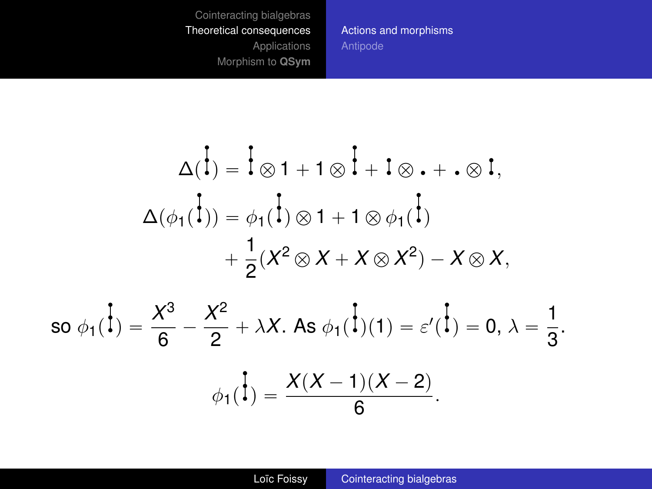[Actions and morphisms](#page-19-0)

$$
\Delta(\vec{l}) = \vec{l} \otimes 1 + 1 \otimes \vec{l} + \vec{l} \otimes \cdot + \cdot \otimes \vec{l},
$$
  

$$
\Delta(\phi_1(\vec{l})) = \phi_1(\vec{l}) \otimes 1 + 1 \otimes \phi_1(\vec{l}) + \frac{1}{2}(X^2 \otimes X + X \otimes X^2) - X \otimes X,
$$

so 
$$
\phi_1(\vec{l}) = \frac{X^3}{6} - \frac{X^2}{2} + \lambda X
$$
. As  $\phi_1(\vec{l})(1) = \varepsilon'(\vec{l}) = 0$ ,  $\lambda = \frac{1}{3}$ .  

$$
\phi_1(\vec{l}) = \frac{X(X-1)(X-2)}{6}
$$
.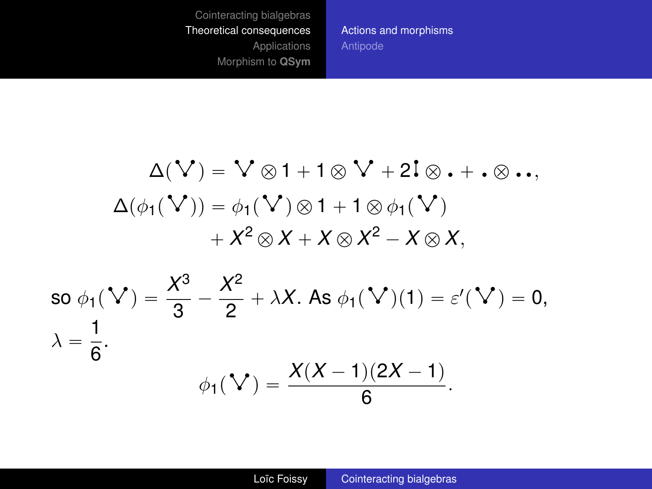[Actions and morphisms](#page-19-0)

$$
\Delta(\mathbf{V}) = \mathbf{V} \otimes 1 + 1 \otimes \mathbf{V} + 2\mathbf{I} \otimes \mathbf{v} + \mathbf{v} \otimes \mathbf{v},
$$
  
\n
$$
\Delta(\phi_1(\mathbf{V})) = \phi_1(\mathbf{V}) \otimes 1 + 1 \otimes \phi_1(\mathbf{V})
$$
  
\n
$$
+ X^2 \otimes X + X \otimes X^2 - X \otimes X,
$$
  
\nso  $\phi_1(\mathbf{V}) = \frac{X^3}{3} - \frac{X^2}{2} + \lambda X.$  As  $\phi_1(\mathbf{V})(1) = \varepsilon'(\mathbf{V}) = 0,$   
\n
$$
\lambda = \frac{1}{6}.
$$
  
\n
$$
\phi_1(\mathbf{V}) = \frac{X(X-1)(2X-1)}{6}.
$$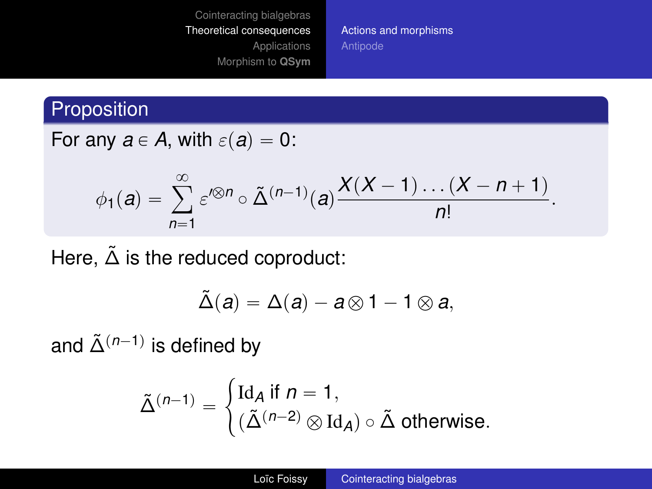[Actions and morphisms](#page-19-0) [Antipode](#page-31-0)

## Proposition

For any  $a \in A$ , with  $\varepsilon(a) = 0$ :

$$
\phi_1(a)=\sum_{n=1}^\infty \varepsilon'^{\otimes n}\circ \tilde{\Delta}^{(n-1)}(a)\frac{X(X-1)\dots(X-n+1)}{n!}.
$$

Here,  $\tilde{\Delta}$  is the reduced coproduct:

$$
\tilde{\Delta}(a)=\Delta(a)-a\mathop{\otimes} 1-1\mathop{\otimes} a,
$$

and  $\tilde{\Delta}^{(n-1)}$  is defined by

$$
\tilde{\Delta}^{(n-1)} = \begin{cases} \text{Id}_A \text{ if } n = 1, \\ (\tilde{\Delta}^{(n-2)} \otimes \text{Id}_A) \circ \tilde{\Delta} \text{ otherwise.} \end{cases}
$$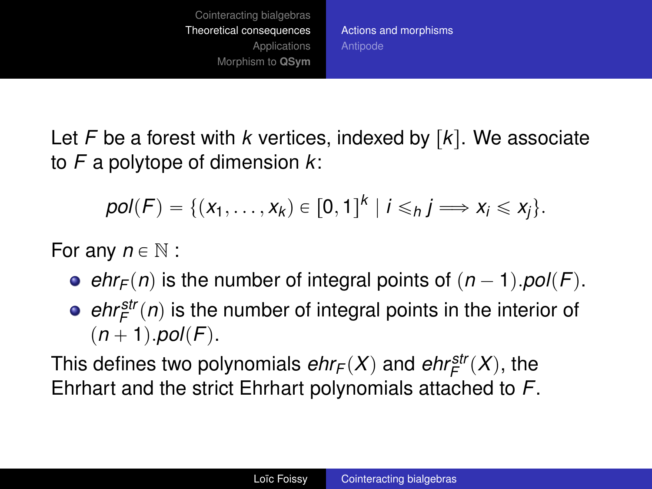[Actions and morphisms](#page-19-0) [Antipode](#page-31-0)

Let  $F$  be a forest with  $k$  vertices, indexed by  $[k]$ . We associate to *F* a polytope of dimension *k*:

$$
pol(F) = \{ (x_1,\ldots,x_k) \in [0,1]^k \mid i \leq h \} \Longrightarrow x_i \leq x_j \}.
$$

For any  $n \in \mathbb{N}$  :

- *e*  $e^{h}$ *F*(*n*) is the number of integral points of  $(n 1)$ *.pol*(*F*).
- $ehr_F^{str}(n)$  is the number of integral points in the interior of  $(n + 1)$ *pol* $(F)$ .

This defines two polynomials  $ehr_F(X)$  and  $ehr_F^{\text{str}}(X)$ , the Ehrhart and the strict Ehrhart polynomials attached to *F*.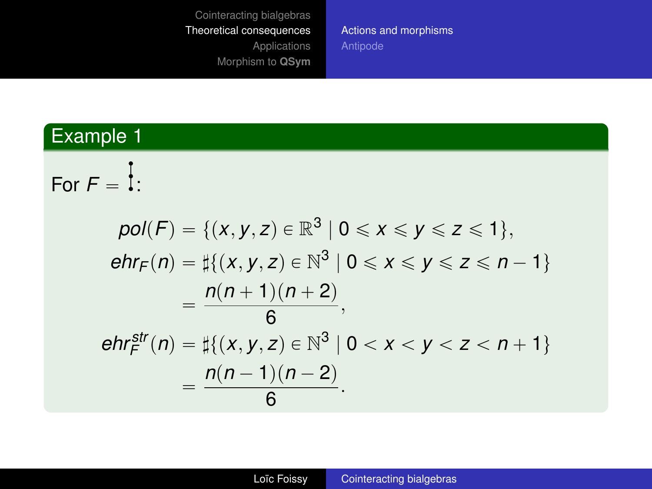[Actions and morphisms](#page-19-0)

## Example 1

For  $F = \frac{1}{1}$ :

$$
pol(F) = \{ (x, y, z) \in \mathbb{R}^3 \mid 0 \le x \le y \le z \le 1 \},
$$
  
\n
$$
ehr_F(n) = \sharp \{ (x, y, z) \in \mathbb{N}^3 \mid 0 \le x \le y \le z \le n - 1 \}
$$
  
\n
$$
= \frac{n(n + 1)(n + 2)}{6},
$$
  
\n
$$
ehr_F^{str}(n) = \sharp \{ (x, y, z) \in \mathbb{N}^3 \mid 0 < x < y < z < n + 1 \}
$$
  
\n
$$
= \frac{n(n - 1)(n - 2)}{6}.
$$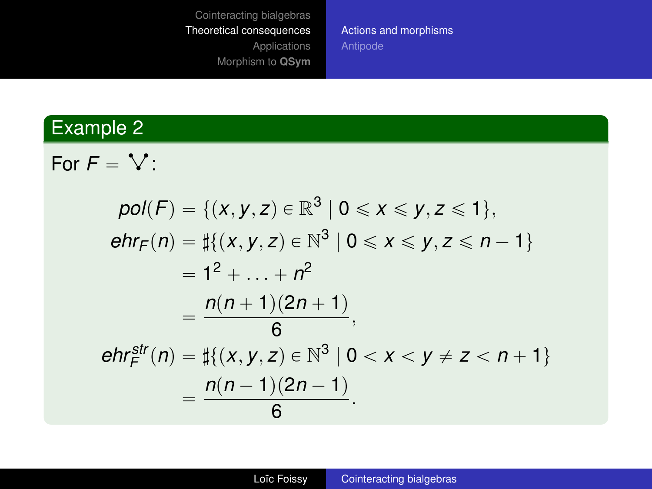[Actions and morphisms](#page-19-0)

#### Example 2

For  $F = V$  :

$$
pol(F) = \{(x, y, z) \in \mathbb{R}^3 \mid 0 \le x \le y, z \le 1\},
$$
  
\n
$$
ehr_F(n) = \sharp\{(x, y, z) \in \mathbb{N}^3 \mid 0 \le x \le y, z \le n - 1\}
$$
  
\n
$$
= 1^2 + \dots + n^2
$$
  
\n
$$
= \frac{n(n + 1)(2n + 1)}{6},
$$
  
\n
$$
ehr_F^{str}(n) = \sharp\{(x, y, z) \in \mathbb{N}^3 \mid 0 < x < y \ne z < n + 1\}
$$
  
\n
$$
= \frac{n(n - 1)(2n - 1)}{6}.
$$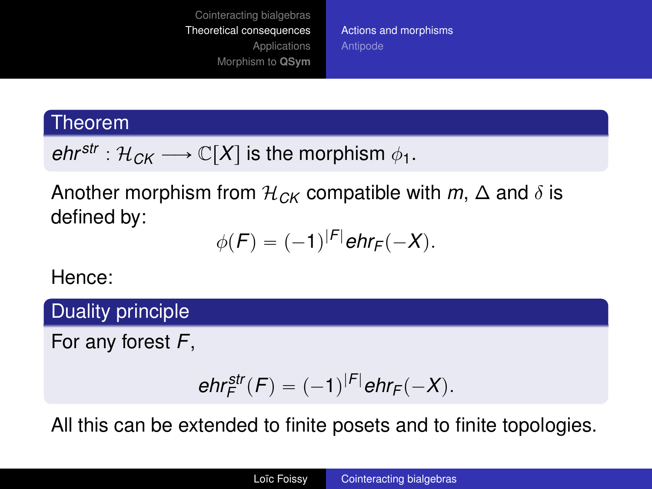[Actions and morphisms](#page-19-0) [Antipode](#page-31-0)

#### Theorem

*ehr*<sup>str</sup> :  $\mathcal{H}_{CK} \longrightarrow \mathbb{C}[X]$  is the morphism  $\phi_1$ .

Another morphism from  $\mathcal{H}_{CK}$  compatible with  $m, \Delta$  and  $\delta$  is defined by:

$$
\phi(F)=(-1)^{|F|}\text{ehr}_F(-X).
$$

Hence:

Duality principle

For any forest *F*,

$$
\textit{ehr}^{\textit{str}}_F(F) = (-1)^{|F|} \textit{ehr}_F(-X).
$$

All this can be extended to finite posets and to finite topologies.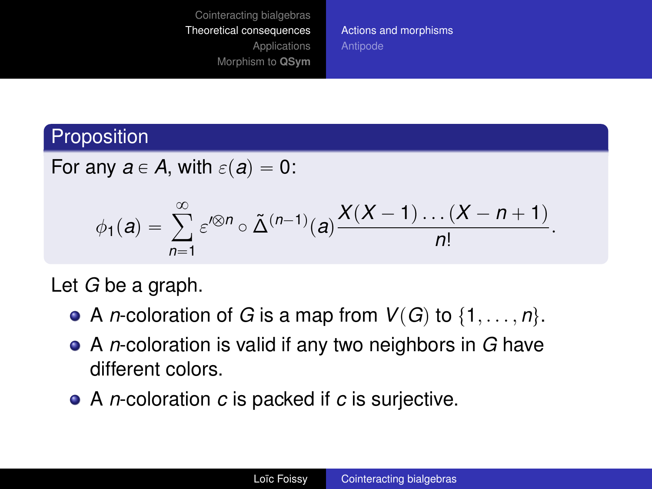[Actions and morphisms](#page-19-0) [Antipode](#page-31-0)

## Proposition

For any 
$$
a \in A
$$
, with  $\varepsilon(a) = 0$ :

$$
\phi_1(a)=\sum_{n=1}^\infty \varepsilon'^{\otimes n}\circ \tilde{\Delta}^{(n-1)}(a)\frac{X(X-1)\dots(X-n+1)}{n!}.
$$

Let *G* be a graph.

- A *n*-coloration of *G* is a map from  $V(G)$  to  $\{1, \ldots, n\}.$
- A *n*-coloration is valid if any two neighbors in *G* have different colors.
- A *n*-coloration *c* is packed if *c* is surjective.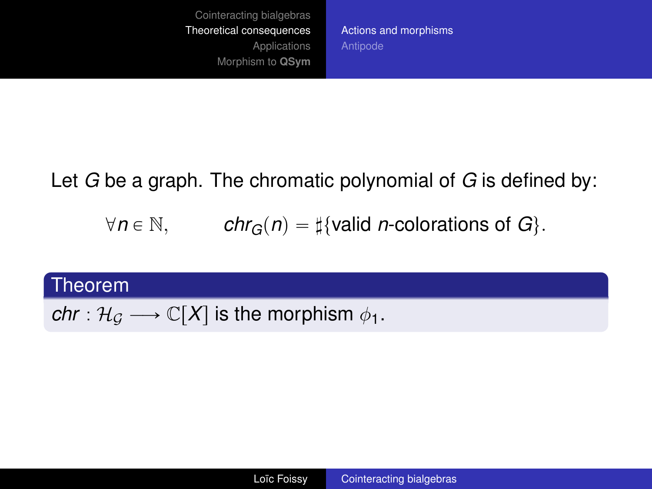[Actions and morphisms](#page-19-0) [Antipode](#page-31-0)

Let *G* be a graph. The chromatic polynomial of *G* is defined by:

 $\forall n \in \mathbb{N},$  *chr<sub>G</sub>* $(n) = \frac{1}{4}$ valid *n*-colorations of *G*.

#### Theorem

*chr* :  $\mathcal{H}_G \longrightarrow \mathbb{C}[X]$  is the morphism  $\phi_1$ .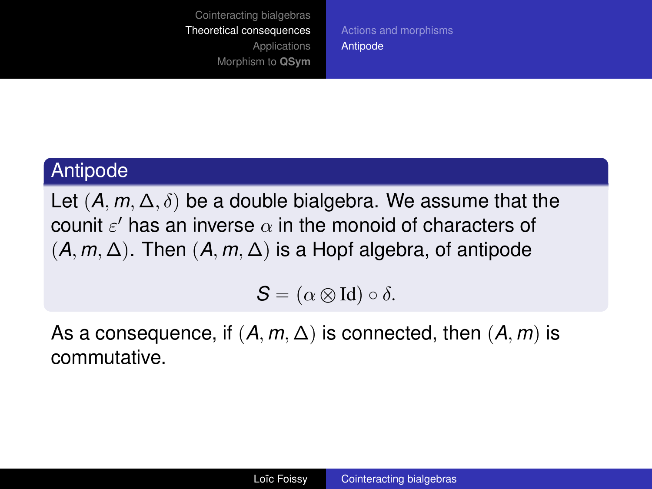[Actions and morphisms](#page-19-0) [Antipode](#page-31-0)

#### <span id="page-31-0"></span>Antipode

Let  $(A, m, \Delta, \delta)$  be a double bialgebra. We assume that the counit  $\varepsilon'$  has an inverse  $\alpha$  in the monoid of characters of  $(A, m, \Delta)$ . Then  $(A, m, \Delta)$  is a Hopf algebra, of antipode

 $S = (\alpha \otimes \text{Id}) \circ \delta.$ 

As a consequence, if  $(A, m, \Delta)$  is connected, then  $(A, m)$  is commutative.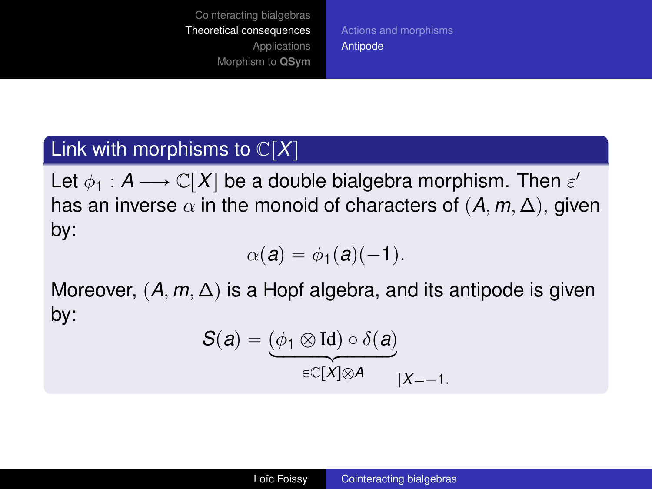[Actions and morphisms](#page-19-0) [Antipode](#page-31-0)

## Link with morphisms to  $\mathbb{C}[X]$

Let  $\phi_{1}:A\longrightarrow\mathbb{C}[X]$  be a double bialgebra morphism. Then  $\varepsilon^{\prime}$ has an inverse  $\alpha$  in the monoid of characters of  $(A, m, \Delta)$ , given by:

$$
\alpha(\mathbf{a}) = \phi_1(\mathbf{a})(-1).
$$

Moreover,  $(A, m, \Delta)$  is a Hopf algebra, and its antipode is given by:

$$
S(a) = \underbrace{(\phi_1 \otimes \text{Id}) \circ \delta(a)}_{\in \mathbb{C}[X] \otimes A} \underline{\hspace{1cm}}_{|X=-1}.
$$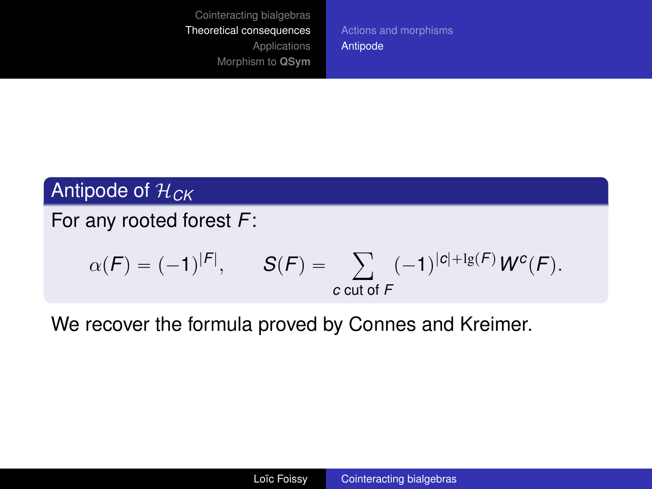[Actions and morphisms](#page-19-0) [Antipode](#page-31-0)

## Antipode of H*CK*

For any rooted forest *F*:

$$
\alpha(F) = (-1)^{|F|}, \qquad S(F) = \sum_{c \text{ cut of } F} (-1)^{|c|+lg(F)} W^c(F).
$$

We recover the formula proved by Connes and Kreimer.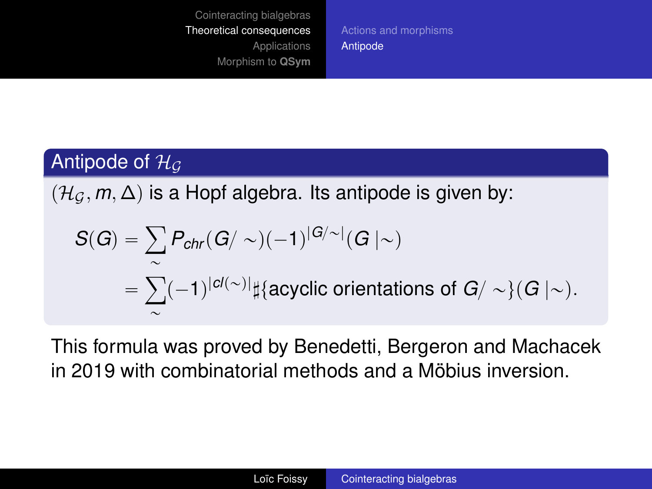[Actions and morphisms](#page-19-0) [Antipode](#page-31-0)

## Antipode of  $H_G$

 $(\mathcal{H}_G, m, \Delta)$  is a Hopf algebra. Its antipode is given by:

$$
S(G) = \sum_{\sim} P_{chr}(G/\sim) (-1)^{|G/\sim|}(G \mid \sim)
$$
  
= 
$$
\sum_{\sim}^{\sim} (-1)^{|cl(\sim)|} \sharp \{\text{acyclic orientations of } G/\sim\}(G \mid \sim).
$$

This formula was proved by Benedetti, Bergeron and Machacek in 2019 with combinatorial methods and a Möbius inversion.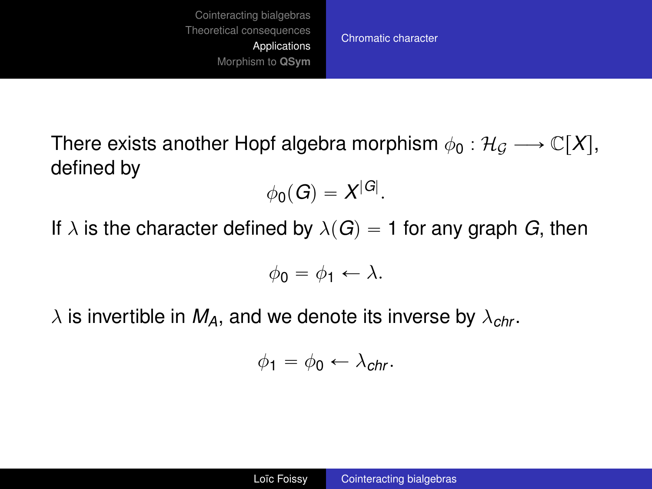[Chromatic character](#page-35-0)

<span id="page-35-0"></span>There exists another Hopf algebra morphism  $\phi_0 : \mathcal{H}_\mathcal{C} \longrightarrow \mathbb{C}[X],$ defined by

$$
\phi_0(G)=X^{|G|}.
$$

If  $\lambda$  is the character defined by  $\lambda(G) = 1$  for any graph *G*, then

$$
\phi_0 = \phi_1 \leftarrow \lambda.
$$

 $\lambda$  is invertible in  $M_A$ , and we denote its inverse by  $\lambda_{chr}$ .

$$
\phi_1 = \phi_0 \leftarrow \lambda_{chr}.
$$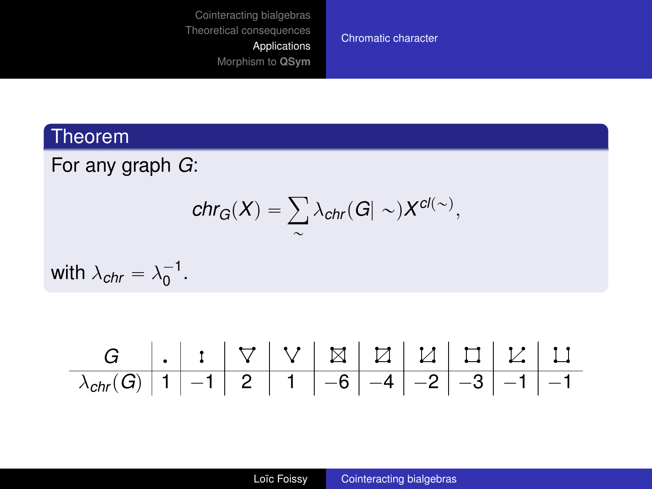[Chromatic character](#page-35-0)

#### Theorem

For any graph *G*:

$$
chr_G(X) = \sum_{\sim} \lambda_{chr}(G| \sim) X^{cl(\sim)},
$$

with  $\lambda_{chr} = \lambda_0^{-1}$ .

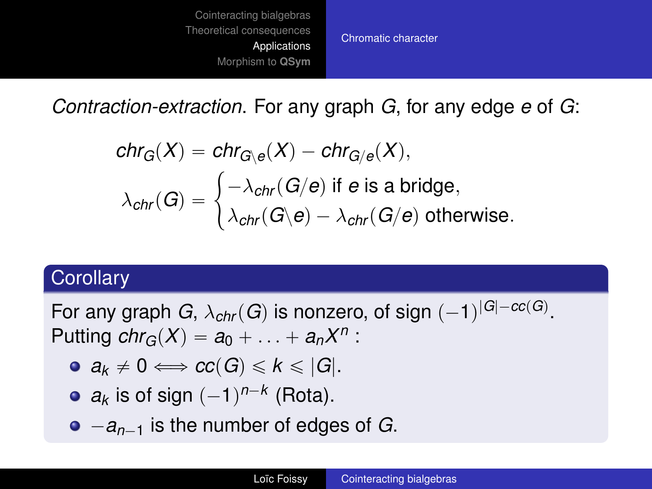

*Contraction-extraction*. For any graph *G*, for any edge *e* of *G*:

$$
\begin{aligned} &\mathsf{chr}_G(X) = \mathsf{chr}_{G \setminus e}(X) - \mathsf{chr}_{G / e}(X), \\ &\lambda_{\mathsf{chr}}(G) = \begin{cases} -\lambda_{\mathsf{chr}}(G / e) \text{ if } e \text{ is a bridge}, \\ &\lambda_{\mathsf{chr}}(G \setminus e) - \lambda_{\mathsf{chr}}(G / e) \text{ otherwise}. \end{cases} \end{aligned}
$$

#### **Corollary**

For any graph  $G$ ,  $\lambda_{chr}(G)$  is nonzero, of sign  $(-1)^{|G| - cc(G)}$ . Putting  $chr_G(X) = a_0 + \ldots + a_n X^n$ :

- $\bullet$   $a_k \neq 0 \Longleftrightarrow cc(G) \leq k \leq |G|$ .
- $a_k$  is of sign  $(-1)^{n-k}$  (Rota).
- $\bullet$   $-a_{n-1}$  is the number of edges of *G*.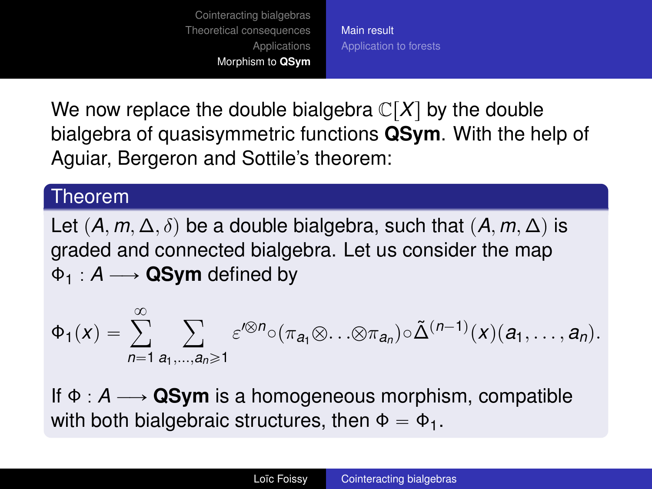[Main result](#page-38-0) [Application to forests](#page-40-0)

<span id="page-38-0"></span>We now replace the double bialgebra  $\mathbb{C}[X]$  by the double bialgebra of quasisymmetric functions **QSym**. With the help of Aguiar, Bergeron and Sottile's theorem:

#### Theorem

Let  $(A, m, \Delta, \delta)$  be a double bialgebra, such that  $(A, m, \Delta)$  is graded and connected bialgebra. Let us consider the map  $\Phi_1 : A \longrightarrow$  QSym defined by

$$
\Phi_1(x)=\sum_{n=1}^\infty\sum_{a_1,\ldots,a_n\geqslant 1}\varepsilon'^{\otimes n}\circ (\pi_{a_1}\otimes\ldots\otimes\pi_{a_n})\circ\tilde\Delta^{(n-1)}(x)(a_1,\ldots,a_n).
$$

If  $\Phi : A \longrightarrow \mathbf{QSym}$  is a homogeneous morphism, compatible with both bialgebraic structures, then  $\Phi = \Phi_1$ .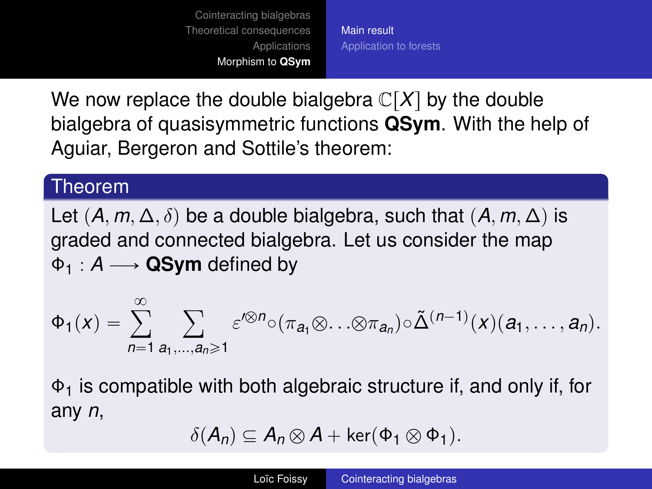[Main result](#page-38-0) [Application to forests](#page-40-0)

We now replace the double bialgebra  $\mathbb{C}[X]$  by the double bialgebra of quasisymmetric functions **QSym**. With the help of Aguiar, Bergeron and Sottile's theorem:

#### Theorem

Let  $(A, m, \Delta, \delta)$  be a double bialgebra, such that  $(A, m, \Delta)$  is graded and connected bialgebra. Let us consider the map  $\Phi_1 : A \longrightarrow$  QSym defined by

$$
\Phi_1(x)=\sum_{n=1}^\infty\sum_{a_1,\ldots,a_n\geqslant 1}\varepsilon'^{\otimes n}\circ (\pi_{a_1}\otimes\ldots\otimes\pi_{a_n})\circ\tilde\Delta^{(n-1)}(x)(a_1,\ldots,a_n).
$$

 $\Phi_1$  is compatible with both algebraic structure if, and only if, for any *n*,

$$
\delta(A_n) \subseteq A_n \otimes A + \ker(\Phi_1 \otimes \Phi_1).
$$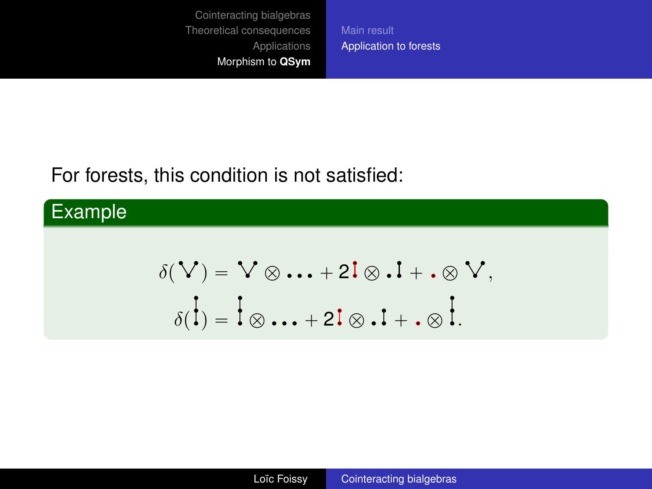[Main result](#page-38-0) [Application to forests](#page-40-0)

## <span id="page-40-0"></span>For forests, this condition is not satisfied:

## Example

$$
\delta(\mathbf{V}) = \mathbf{V} \otimes \mathbf{I} + \mathbf{I} \otimes \mathbf{I} + \mathbf{I} \otimes \mathbf{V},
$$

$$
\delta(\mathbf{I}) = \mathbf{I} \otimes \mathbf{I} + \mathbf{I} \otimes \mathbf{I} + \mathbf{I} \otimes \mathbf{I}.
$$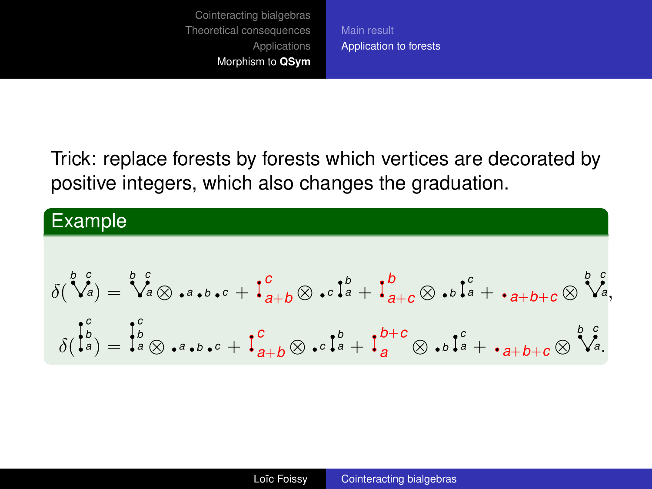[Main result](#page-38-0) [Application to forests](#page-40-0)

Trick: replace forests by forests which vertices are decorated by positive integers, which also changes the graduation.

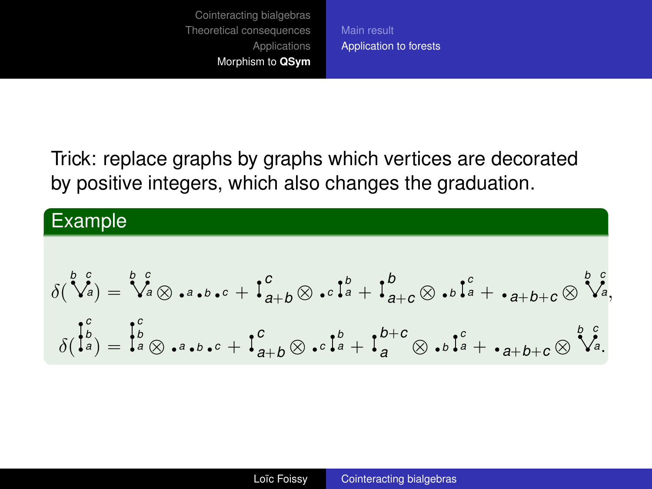[Main result](#page-38-0) [Application to forests](#page-40-0)

Trick: replace graphs by graphs which vertices are decorated by positive integers, which also changes the graduation.

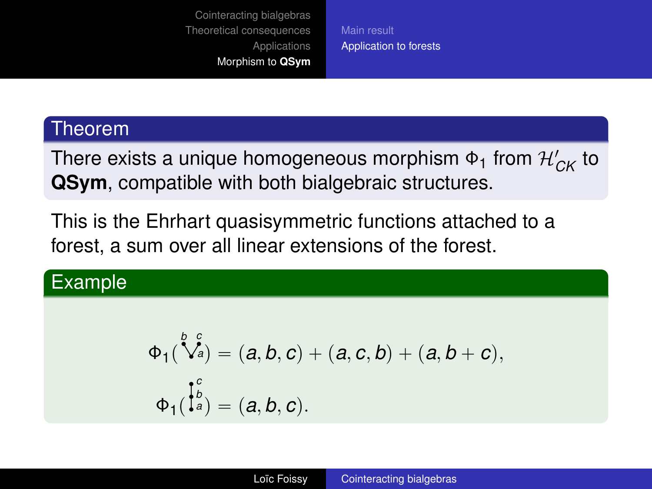[Main result](#page-38-0) [Application to forests](#page-40-0)

#### Theorem

There exists a unique homogeneous morphism  $\Phi_1$  from  $\mathcal{H}_{CK}$  to **QSym**, compatible with both bialgebraic structures.

This is the Ehrhart quasisymmetric functions attached to a forest, a sum over all linear extensions of the forest.

## Example

$$
\Phi_1(\bigvee_{a=1}^{b} G_a^c) = (a, b, c) + (a, c, b) + (a, b + c),
$$
  

$$
\Phi_1(\bigvee_{a=1}^{b} G_a^c) = (a, b, c).
$$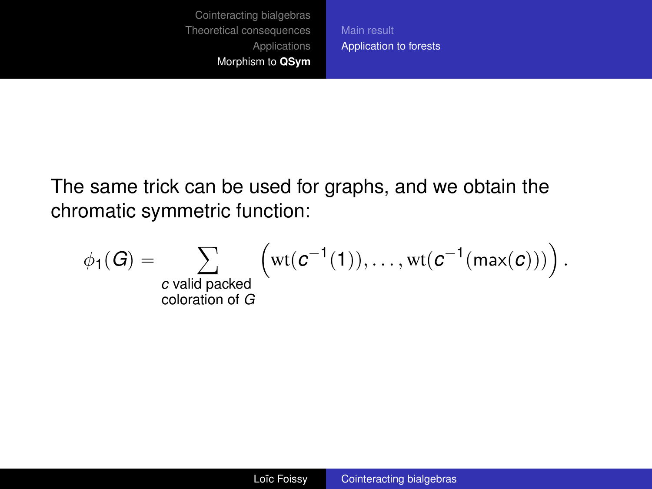[Application to forests](#page-40-0)

The same trick can be used for graphs, and we obtain the chromatic symmetric function:

coloration of *G*

$$
\phi_1(G) = \sum_{\text{c valid packed}} \left( \mathrm{wt}(\text{c}^{-1}(1)), \ldots, \mathrm{wt}(\text{c}^{-1}(\max(\text{c}))) \right).
$$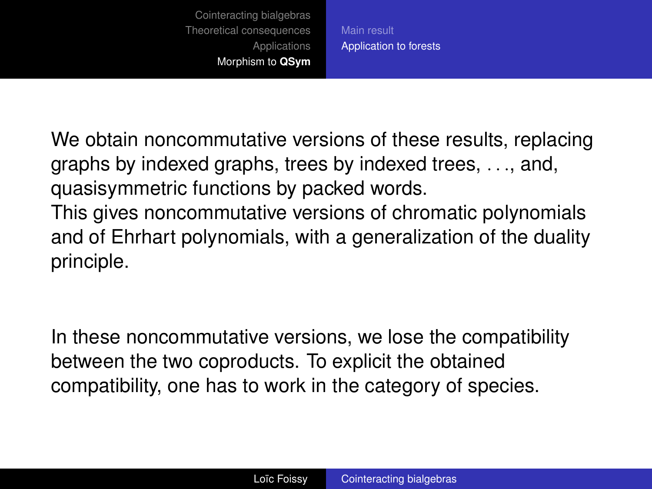[Main result](#page-38-0) [Application to forests](#page-40-0)

We obtain noncommutative versions of these results, replacing graphs by indexed graphs, trees by indexed trees, . . ., and, quasisymmetric functions by packed words.

This gives noncommutative versions of chromatic polynomials and of Ehrhart polynomials, with a generalization of the duality principle.

In these noncommutative versions, we lose the compatibility between the two coproducts. To explicit the obtained compatibility, one has to work in the category of species.